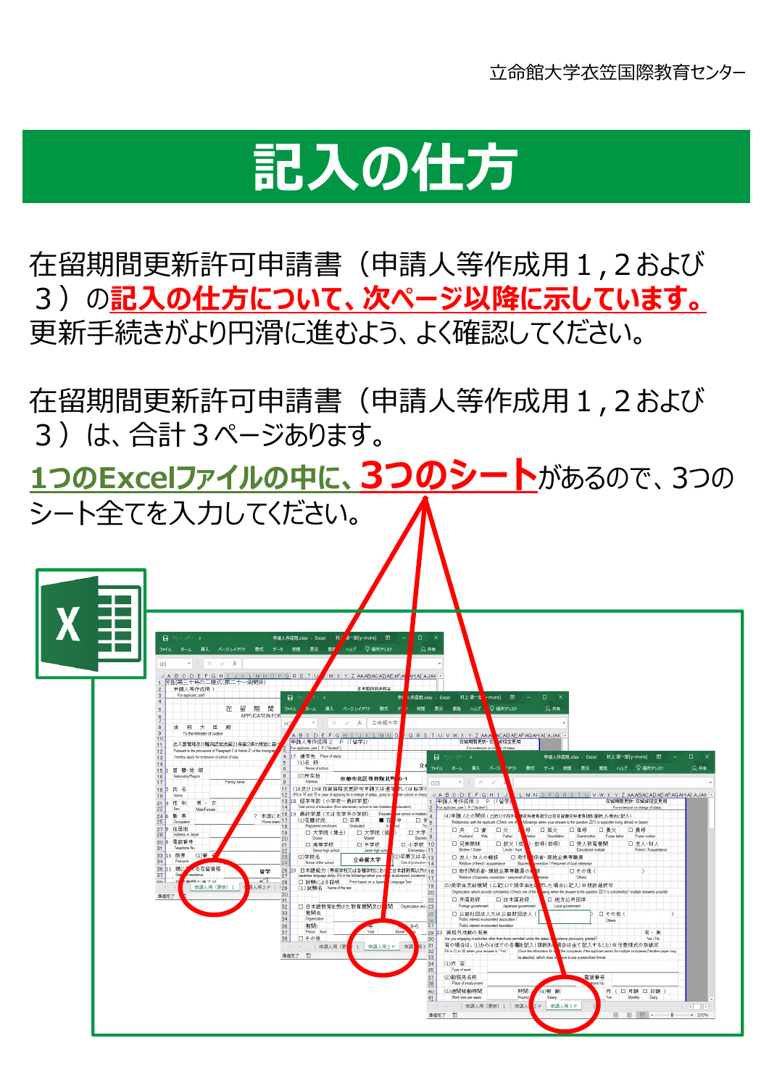## **記入の仕方**

在留期間更新許可申請書(申請⼈等作成⽤1,2および 3)の記入の仕方について、次ページ以降に示しています。 更新⼿続きがより円滑に進むよう、よく確認してください。

在留期間更新許可申請書(申請人等作成用1,2および 3)は、合計3ページあります。

**1つのExcelファイルの中に、3つのシート**があるので、3つの シート全てを入力してください。

| $\Box\qquad\times$<br>2共有                                                                                                                                                                                                                                              |
|------------------------------------------------------------------------------------------------------------------------------------------------------------------------------------------------------------------------------------------------------------------------|
| ORSTUVWXYZAAA <mark>NCADAEAFAGAHAIAJAK</mark>                                                                                                                                                                                                                          |
| 申請人作成用.xlsx - Excel 村上 陽一郎(y-mura) 田 一 口                                                                                                                                                                                                                               |
| ファイル ホーム 挿入 ページ クワウト 数式 データ 校閲 表示 開発 ヘルプ Q 操作アシスト<br>2共有                                                                                                                                                                                                               |
| (LMNOPQRSTUVWXYZAAABACADAEAFAGAHAIAJAK)<br>在留期間更新·在留資格変更用                                                                                                                                                                                                              |
| For extension or change of status<br>(4)申請人との関係 (上記(1)で在外 <mark>、</mark> 曹支弁者負担又は在日経曹支弁者負担を選択した場合に記入)<br>followings when your answer to the question 22(1) is supporter living abroad or Japan)                                                                        |
| ■ 母 口 祖父   口 祖母   口 養父  <br>口 養母<br>Mother Grandfather Grandmother Foster father<br>Foster mother<br>□ 受入教育機関<br>口 友人 知人<br>● むみ (伯母)<br>Friend / Acquaintance<br>Educational institute                                                                                |
| □ 友人·知人の親族 │ □ 取引 胡係者·現地企業等職員<br>onnection / Personnel of local enterorise<br>□その他(                                                                                                                                                                                    |
| Others<br>(5)奨学金支給機関 (上記(1)で奨学金を、訳した場合に記入)※複数選択可<br>wing when the answer to the question 22(1) is scholarship)" multiple answers possible                                                                                                                              |
| □ 地方公共団体<br>Local government<br>□ その他 (<br><b>Others</b>                                                                                                                                                                                                               |
| 有・無<br>sidence previously granted?<br>Yes / No                                                                                                                                                                                                                         |
| 有の場合は, (1)から(4)までの各欄を記入(複数あ <mark>く</mark> 場合は全て記入すること)※任意様式の別紙可<br>Fill in (1) to (4) when your answer is "Yes". (Give the information for a set of the companies if the applicant works for multiple companies)"another paper may<br>ave to use a prescribed format. |
| 電話番号<br>one No                                                                                                                                                                                                                                                         |
| 円 (口月額 口日額)<br>Yen<br>Monthly Daily<br>申請人用3P<br>$\mathbf{H} = \mathbf{R}$                                                                                                                                                                                             |
| Are you engaging in activities other than those permitted under the status of<br>be atached, which does no<br>(4)報酬<br>Salary                                                                                                                                          |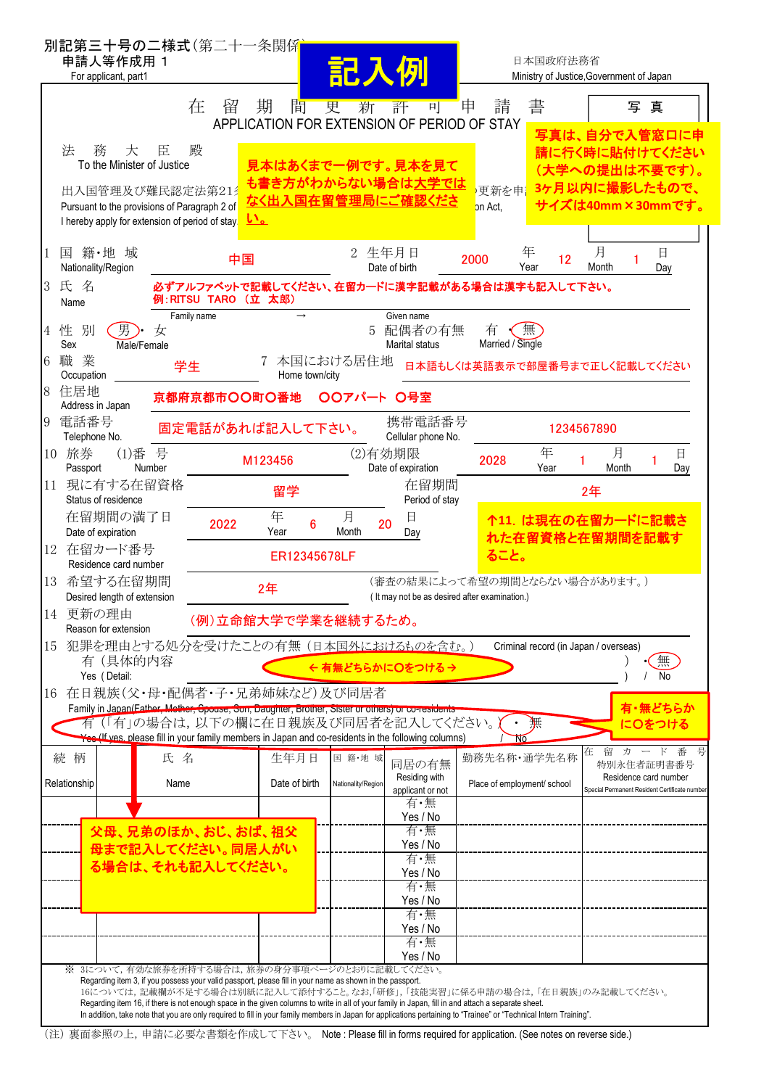| 別記第三十号の二様式(第二十一条関係<br>申請人等作成用 1<br>For applicant, part1                                                                                                                                                                    |                                                                                                                                                                                                                                                                | 記入例                                                              | 日本国政府法務省                                                                                                                                                                                                                                         | Ministry of Justice, Government of Japan                                            |  |
|----------------------------------------------------------------------------------------------------------------------------------------------------------------------------------------------------------------------------|----------------------------------------------------------------------------------------------------------------------------------------------------------------------------------------------------------------------------------------------------------------|------------------------------------------------------------------|--------------------------------------------------------------------------------------------------------------------------------------------------------------------------------------------------------------------------------------------------|-------------------------------------------------------------------------------------|--|
| 在                                                                                                                                                                                                                          | 間<br>留<br>期                                                                                                                                                                                                                                                    | 更<br>評<br>新<br>可<br>APPLICATION FOR EXTENSION OF PERIOD OF STAY  | 書<br>申<br>請                                                                                                                                                                                                                                      | 写真<br>写真は、自分で入管窓口に申                                                                 |  |
| 法<br>殿<br>務<br>大<br>臣<br>To the Minister of Justice                                                                                                                                                                        |                                                                                                                                                                                                                                                                | 見本はあくまで一例です。見本を見て<br><mark>も書き方がわからない場合は<u>大学では</u></mark>       |                                                                                                                                                                                                                                                  | 請に行く時に貼付けてください<br>(大学への提出は不要です)。                                                    |  |
| 出入国管理及び難民認定法第21<br>Pursuant to the provisions of Paragraph 2 of<br>I hereby apply for extension of period of stay.                                                                                                         | <u>い。</u>                                                                                                                                                                                                                                                      | なく出入国在留管理局にご確認くださ                                                | 更新を申<br>on Act,                                                                                                                                                                                                                                  | 3ヶ月以内に撮影したもので、<br>サイズは40mm×30mmです。                                                  |  |
| 籍·地 域<br>国<br>Nationality/Region                                                                                                                                                                                           | 中国                                                                                                                                                                                                                                                             | 2 生年月日<br>Date of birth                                          | 年<br>2000<br>12<br>Year                                                                                                                                                                                                                          | 月<br>日<br>Month<br>Day                                                              |  |
| 3 氏 名<br>Name<br>Family name                                                                                                                                                                                               | 例:RITSU TARO (立 太郎)                                                                                                                                                                                                                                            | Given name                                                       | 必ずアルファベットで記載してください、在留カードに漢字記載がある場合は漢字も記入して下さい。                                                                                                                                                                                                   |                                                                                     |  |
| 別<br>男).<br>性<br>女<br>4<br>Sex<br>Male/Female                                                                                                                                                                              |                                                                                                                                                                                                                                                                | 配偶者の有無<br>5<br><b>Marital status</b>                             | 無<br>有<br>Married / Single                                                                                                                                                                                                                       |                                                                                     |  |
| 業<br>職<br>6<br>学生<br>Occupation<br>住居地<br>8                                                                                                                                                                                | Home town/city<br>京都府京都市〇〇町〇番地                                                                                                                                                                                                                                 | 本国における居住地<br>○○アパート ○号室                                          | 日本語もしくは英語表示で部屋番号まで正しく記載してください                                                                                                                                                                                                                    |                                                                                     |  |
| Address in Japan<br>電話番号<br>9<br>Telephone No.                                                                                                                                                                             | 固定電話があれば記入して下さい。                                                                                                                                                                                                                                               | 携帯電話番号<br>Cellular phone No.                                     |                                                                                                                                                                                                                                                  | 1234567890                                                                          |  |
| 10 旅券<br>号<br>$(1)$ 番<br>Passport<br>Number                                                                                                                                                                                | M123456                                                                                                                                                                                                                                                        | (2)有効期限<br>Date of expiration                                    | 年<br>2028<br>Year                                                                                                                                                                                                                                | 月<br>日<br>Month<br>Day                                                              |  |
| 11 現に有する在留資格<br>Status of residence                                                                                                                                                                                        | 留学                                                                                                                                                                                                                                                             | 在留期間<br>Period of stay                                           |                                                                                                                                                                                                                                                  | 2年                                                                                  |  |
| 在留期間の満了日<br>Date of expiration                                                                                                                                                                                             | 年<br>2022<br>6<br>Year                                                                                                                                                                                                                                         | 月<br>日<br>20<br>Month<br>Day                                     |                                                                                                                                                                                                                                                  | 个11. は現在の在留カードに記載さ<br>れた在留資格と在留期間を記載す                                               |  |
| 12 在留カード番号<br>Residence card number<br>13 希望する在留期間                                                                                                                                                                         | ER12345678LF                                                                                                                                                                                                                                                   |                                                                  | ること。                                                                                                                                                                                                                                             |                                                                                     |  |
| Desired length of extension<br>14 更新の理由                                                                                                                                                                                    | (審査の結果によって希望の期間とならない場合があります。)<br>2年<br>( It may not be as desired after examination.)                                                                                                                                                                          |                                                                  |                                                                                                                                                                                                                                                  |                                                                                     |  |
| (例)立命館大学で学業を継続するため。<br>Reason for extension<br>犯罪を理由とする処分を受けたことの有無(日本国外におけるものを含む。)<br>Criminal record (in Japan / overseas)<br>15<br>無<br>有(具体的内容<br>← 有無どちらかに○をつける→                                                       |                                                                                                                                                                                                                                                                |                                                                  |                                                                                                                                                                                                                                                  |                                                                                     |  |
| Yes (Detail:<br>No<br>16 在日親族(父・母・配偶者・子・兄弟姉妹など)及び同居者<br>有・無どちらか<br>Family in Japan (Father, Mether, Spouse, Son, Daughter, Brother, Sister or others) or co-residents<br>有(「有」の場合は、以下の欄に在日親族及び同居者を記入してください。<br>無<br>につをつける |                                                                                                                                                                                                                                                                |                                                                  |                                                                                                                                                                                                                                                  |                                                                                     |  |
| 続 柄<br>氏名                                                                                                                                                                                                                  | Yes (If yes, please fill in your family members in Japan and co-residents in the following columns)<br>生年月日                                                                                                                                                    | 国籍·地域                                                            | Nδ<br>勤務先名称·通学先名称                                                                                                                                                                                                                                | 留<br>カ<br>在<br>- F                                                                  |  |
| Relationship<br>Name                                                                                                                                                                                                       | Date of birth                                                                                                                                                                                                                                                  | 同居の有無<br>Residing with<br>Nationality/Region<br>applicant or not | Place of employment/ school                                                                                                                                                                                                                      | 特別永住者証明書番号<br>Residence card number<br>Special Permanent Resident Certificate numbe |  |
|                                                                                                                                                                                                                            |                                                                                                                                                                                                                                                                | 有・無<br>Yes / No                                                  |                                                                                                                                                                                                                                                  |                                                                                     |  |
| 父母、兄弟のほか、おじ、おば、祖父<br>母まで記入してください。同居人がい                                                                                                                                                                                     |                                                                                                                                                                                                                                                                | 有・無<br>Yes / No<br>有・無                                           |                                                                                                                                                                                                                                                  |                                                                                     |  |
| る場合は、それも記入してください。                                                                                                                                                                                                          |                                                                                                                                                                                                                                                                | Yes / No<br>有・無<br>Yes / No                                      |                                                                                                                                                                                                                                                  |                                                                                     |  |
|                                                                                                                                                                                                                            |                                                                                                                                                                                                                                                                | 有·無<br>Yes / No                                                  |                                                                                                                                                                                                                                                  |                                                                                     |  |
| ※ 3について,有効な旅券を所持する場合は,旅券の身分事項ページのとおりに記載してください。                                                                                                                                                                             |                                                                                                                                                                                                                                                                | 有・無<br>Yes / No                                                  |                                                                                                                                                                                                                                                  |                                                                                     |  |
|                                                                                                                                                                                                                            | Regarding item 3, if you possess your valid passport, please fill in your name as shown in the passport.<br>Regarding item 16, if there is not enough space in the given columns to write in all of your family in Japan, fill in and attach a separate sheet. |                                                                  | 16については、記載欄が不足する場合は別紙に記入して添付すること。なお,「研修」,「技能実習」に係る申請の場合は,「在日親族」のみ記載してください。<br>In addition, take note that you are only required to fill in your family members in Japan for applications pertaining to "Trainee" or "Technical Intern Training". |                                                                                     |  |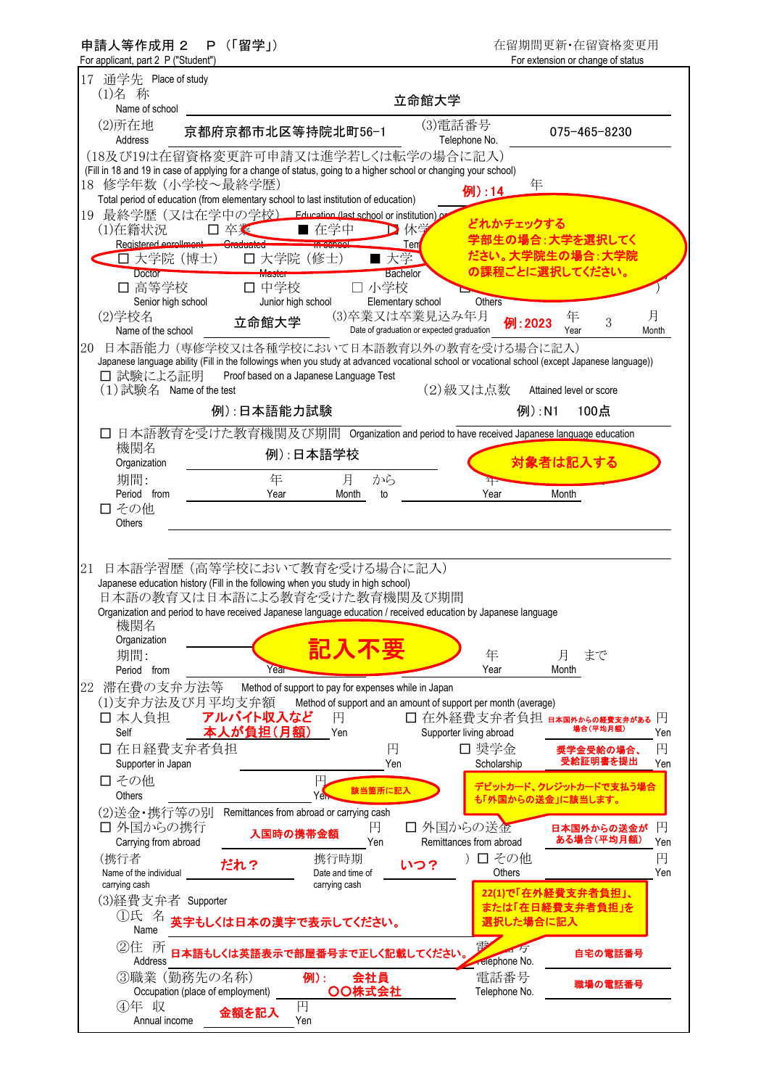| P (「留学」)<br>申請人等作成用 2<br>For applicant, part 2 P ("Student")    |                                                                                                                                                                                                                                    |                                                                                              | 在留期間更新·在留資格変更用<br>For extension or change of status |
|-----------------------------------------------------------------|------------------------------------------------------------------------------------------------------------------------------------------------------------------------------------------------------------------------------------|----------------------------------------------------------------------------------------------|-----------------------------------------------------|
| 17 通学先 Place of study<br>(1)名 称                                 |                                                                                                                                                                                                                                    | 立命館大学                                                                                        |                                                     |
| Name of school<br>(2)所在地<br>Address                             | 京都府京都市北区等持院北町56-1                                                                                                                                                                                                                  | (3)電話番号<br>Telephone No.                                                                     | 075-465-8230                                        |
| 18 修学年数(小学校~最終学歴)                                               | (18及び19は在留資格変更許可申請又は進学若しくは転学の場合に記入)<br>(Fill in 18 and 19 in case of applying for a change of status, going to a higher school or changing your school)                                                                            | 年                                                                                            |                                                     |
|                                                                 | Total period of education (from elementary school to last institution of education)<br>19 最終学歴(又は在学中の学校) Education (last school or institution)の                                                                                   | 例):14<br>どれかチェックする                                                                           |                                                     |
| (1)在籍状況<br>□ 卒業<br>Registered enrollment Craduated<br>□ 大学院(博士) | ■ 在学中<br>口 大学院 (修士)<br>■ 大学                                                                                                                                                                                                        | ▶ 休学<br>Tem                                                                                  | 学部生の場合:大学を選択してく<br>ださい。大学院生の場合:大学院                  |
| <b>Doctor</b><br>□ 高等学校<br>Senior high school                   | <b>Bachelor</b><br>Master<br>□ 小学校<br>口 中学校<br>Elementary school<br>Junior high school                                                                                                                                             | Others                                                                                       | の課程ごとに選択してください。                                     |
| (2)学校名<br>Name of the school<br>20                              | 立命館大学<br>日本語能力(専修学校又は各種学校において日本語教育以外の教育を受ける場合に記入)                                                                                                                                                                                  | (3)卒業又は卒業見込み年月<br>例:2023<br>Date of graduation or expected graduation                        | 月<br>年<br>3<br>Year<br>Month                        |
| □ 試験による証明                                                       | Japanese language ability (Fill in the followings when you study at advanced vocational school or vocational school (except Japanese language))<br>Proof based on a Japanese Language Test                                         |                                                                                              |                                                     |
| $(1)$ 試験名 Name of the test                                      | 例):日本語能力試験                                                                                                                                                                                                                         | (2)級又は点数<br>例):N1                                                                            | Attained level or score<br>100点                     |
| 機関名<br>Organization                                             | □ 日本語教育を受けた教育機関及び期間 Organization and period to have received Japanese language education<br>例):日本語学校                                                                                                                               |                                                                                              | 対象者は記入する                                            |
| 期間:<br>Period from<br>□ その他                                     | 年<br>から<br>月<br>Year<br>Month<br>to                                                                                                                                                                                                | $^4$<br>Year                                                                                 | Month                                               |
| <b>Others</b><br>21                                             | 日本語学習歴 (高等学校において教育を受ける場合に記入)                                                                                                                                                                                                       |                                                                                              |                                                     |
|                                                                 | Japanese education history (Fill in the following when you study in high school)<br>日本語の教育又は日本語による教育を受けた教育機関及び期間<br>Organization and period to have received Japanese language education / received education by Japanese language |                                                                                              |                                                     |
| 機関名<br>Organization<br>期間:<br>Period from                       | 記入不要<br>Year                                                                                                                                                                                                                       | 年<br>Year                                                                                    | まで<br>月<br>Month                                    |
| 滞在費の支弁方法等<br>22<br>(1)支弁方法及び月平均支弁額<br>口 本人負担                    | Method of support to pay for expenses while in Japan<br>アルバイト収入など<br>円                                                                                                                                                             | Method of support and an amount of support per month (average)<br>□ 在外経費支弁者負担 日本国外からの経費支弁がある | 円                                                   |
| Self<br>口 在日経費支弁者負担                                             | 本人が負担(月額)<br>Yen<br>円                                                                                                                                                                                                              | Supporter living abroad<br>□ 奨学金                                                             | 場合(平均月額)<br>Yen<br>円<br>奨学金受給の場合、<br>受給証明書を提出       |
| Supporter in Japan<br>□ その他<br><b>Others</b>                    | Yen<br>円<br>該当箇所に記入<br>Yer                                                                                                                                                                                                         | Scholarship                                                                                  | Yen<br>デビットカード、クレジットカードで支払う場合<br>も「外国からの送金」に該当します。  |
| (2)送金・携行等の別<br>口 外国からの携行<br>Carrying from abroad                | Remittances from abroad or carrying cash<br>円<br>入国時の携帯金額<br>Yen                                                                                                                                                                   | 口 外国からの送金<br>Remittances from abroad                                                         | 円<br>日本国外からの送金が<br>ある場合(平均月額)<br>Yen                |
| (携行者<br>だれ?<br>Name of the individual<br>carrying cash          | 携行時期<br>Date and time of<br>carrying cash                                                                                                                                                                                          | )口その他<br>いつ?<br>Others                                                                       | 円<br>Yen                                            |
| (3)経費支弁者 Supporter<br>①氏 名<br>Name                              | 英字もしくは日本の漢字で表示してください。                                                                                                                                                                                                              | 選択した場合に記入                                                                                    | 22(1)で「在外経費支弁者負担」、<br>または「在日経費支弁者負担」を               |
| ②住 所<br>Address                                                 | 日本語もしくは英語表示で部屋番号まで正しく記載してください。                                                                                                                                                                                                     | 雪<br><b>Telephone No.</b>                                                                    | 自宅の電話番号                                             |
| 3職業 (勤務先の名称)<br>Occupation (place of employment)                | 会社員<br>例):<br>OO株式会社                                                                                                                                                                                                               | 電話番号<br>Telephone No.                                                                        | 職場の電話番号                                             |
| ④年 収<br>Annual income                                           | 円<br>金額を記入<br>Yen                                                                                                                                                                                                                  |                                                                                              |                                                     |